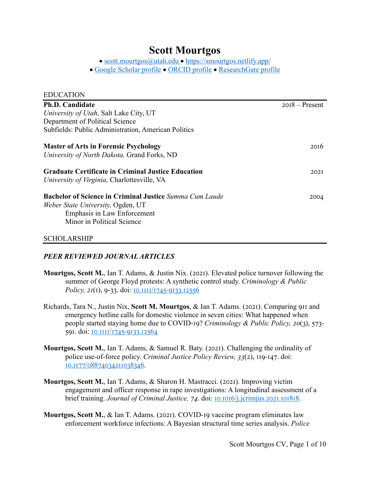## **Scott Mourtgos**

• scott.mourtgos@utah.edu • https://smourtgos.netlify.app/

• Google Scholar profile • ORCID profile • ResearchGate profile

| <b>EDUCATION</b>                                               |                  |
|----------------------------------------------------------------|------------------|
| <b>Ph.D. Candidate</b>                                         | $2018 -$ Present |
| University of Utah, Salt Lake City, UT                         |                  |
| Department of Political Science                                |                  |
| Subfields: Public Administration, American Politics            |                  |
| <b>Master of Arts in Forensic Psychology</b>                   | 2016             |
| University of North Dakota, Grand Forks, ND                    |                  |
| <b>Graduate Certificate in Criminal Justice Education</b>      | 202I             |
| University of Virginia, Charlottesville, VA                    |                  |
| <b>Bachelor of Science in Criminal Justice</b> Summa Cum Laude | 2004             |
| Weber State University, Ogden, UT                              |                  |
| Emphasis in Law Enforcement                                    |                  |
| Minor in Political Science                                     |                  |
| <b>SCHOLARSHIP</b>                                             |                  |

# *PEER REVIEWED JOURNAL ARTICLES*

- **Mourtgos, Scott M., Ian T. Adams, & Justin Nix. (2021). Elevated police turnover following the** summer of George Floyd protests: A synthetic control study. *Criminology & Public Policy, 21(1), 9-33. doi:* <u>10.1111/1745-9133.12556</u>
- Richards, Tara N., Justin Nix, Scott M. Mourtgos, & Ian T. Adams. (2021). Comparing 911 and emergency hotline calls for domestic violence in seven cities: What happened when people started staying home due to COVID-19? *Criminology & Public Policy, 20(3), 573-*591. doi: <u>IO.IIII/1745-9133.12564</u>
- **Mourtgos, Scott M., Ian T. Adams, & Samuel R. Baty. (2021). Challenging the ordinality of** police use-of-force policy. *Criminal Justice Policy Review, 33(2)*, 119-147. doi: IO.II77/08874034211038346.
- **Mourtgos, Scott M., Ian T. Adams, & Sharon H. Mastracci. (2021). Improving victim** engagement and officer response in rape investigations: A longitudinal assessment of a brief training. *Journal of Criminal Justice*, 74. doi: 10.1016/j.jcrimjus.2021.101818.
- **Mourtgos, Scott M., & Ian T. Adams. (2021). COVID-19 vaccine program eliminates law** enforcement workforce infections: A Bayesian structural time series analysis. *Police*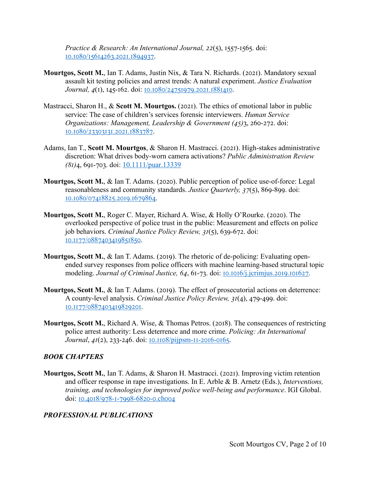*Practice & Research: An International Journal, 22(5), 1557-1565. doi:* LO.LO80/15614263.2021.1894937.

- **Mourtgos, Scott M., Ian T. Adams, Justin Nix, & Tara N. Richards. (2021). Mandatory sexual** assault kit testing policies and arrest trends: A natural experiment. *Justice Evaluation Journal, 4(1), 145-162. doi: 10.1080/24751979.2021.1881410.*
- Mastracci, Sharon H., & Scott M. Mourtgos. (2021). The ethics of emotional labor in public service: The case of children's services forensic interviewers. *Human Service Organizations: Management, Leadership & Government* (45)3, 260-272. doi: LO.LO80/23303131.2021.1883787.
- Adams, Ian T., **Scott M. Mourtgos**, & Sharon H. Mastracci. (2021). High-stakes administrative discretion: What drives body-worn camera activations? *Public Administration Review (81)*4, 691-703. doi: 10.1111/puar.13339
- **Mourtgos, Scott M., & Ian T. Adams. (2020). Public perception of police use-of-force: Legal** reasonableness and community standards. *Justice Quarterly, 37(5)*, 869-899. doi: IO.I080/07418825.2019.1679864.
- **Mourtgos, Scott M., Roger C. Mayer, Richard A. Wise, & Holly O'Rourke. (2020). The** overlooked perspective of police trust in the public: Measurement and effects on police job behaviors. *Criminal Justice Policy Review, 31(5)*, 639-672. doi: IO.II77/0887403419851850.
- **Mourtgos, Scott M., & Ian T. Adams. (2019). The rhetoric of de-policing: Evaluating open**ended survey responses from police officers with machine learning-based structural topic modeling. *Journal of Criminal Justice*, 64, 61-73. doi: 10.1016/j.jcrimjus.2019.101627.
- **Mourtgos, Scott M., & Ian T. Adams. (2019). The effect of prosecutorial actions on deterrence:** A county-level analysis. *Criminal Justice Policy Review, 31(4), 479-499.* doi: 10.1177/0887403419829201.
- **Mourtgos, Scott M., Richard A. Wise, & Thomas Petros. (2018). The consequences of restricting** police arrest authority: Less deterrence and more crime. *Policing: An International Journal*, *41*(2), 233-246. doi: <u>10.1108/pijpsm-11-2016-0165</u>.

#### *BOOK CHAPTERS*

**Mourtgos, Scott M., Ian T. Adams, & Sharon H. Mastracci. (2021). Improving victim retention** and officer response in rape investigations. In E. Arble & B. Arnetz (Eds.), *Interventions, training, and technologies for improved police well-being and performance*. IGI Global. doi: 10.4018/978-1-7998-6820-0.choo4

## *PROFESSIONAL PUBLICATIONS*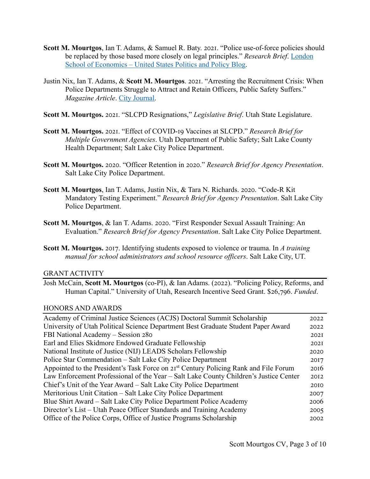- **Scott M. Mourtgos, Ian T. Adams, & Samuel R. Baty. 2021. "Police use-of-force policies should** be replaced by those based more closely on legal principles." *Research Brief*. London School of Economics – United States Politics and Policy Blog.
- Justin Nix, Ian T. Adams, & Scott M. Mourtgos. 2021. "Arresting the Recruitment Crisis: When Police Departments Struggle to Attract and Retain Officers, Public Safety Suffers." *Magazine Article*. City Journal.
- Scott M. Mourtgos. 2021. "SLCPD Resignations," *Legislative Brief*. Utah State Legislature.
- **Scott M. Mourtgos.** 2021. "Effect of COVID-19 Vaccines at SLCPD." *Research Brief for Multiple Government Agencies*. Utah Department of Public Safety; Salt Lake County Health Department; Salt Lake City Police Department.
- **Scott M. Mourtgos.** 2020. "Officer Retention in 2020." *Research Brief for Agency Presentation*. Salt Lake City Police Department.
- Scott M. Mourtgos, Ian T. Adams, Justin Nix, & Tara N. Richards. 2020. "Code-R Kit Mandatory Testing Experiment." *Research Brief for Agency Presentation*. Salt Lake City Police Department.
- **Scott M. Mourtgos, & Ian T. Adams. 2020. "First Responder Sexual Assault Training: An** Evaluation." *Research Brief for Agency Presentation*. Salt Lake City Police Department.
- **Scott M. Mourtgos.** 2017. Identifying students exposed to violence or trauma. In *A training manual for school administrators and school resource officers*. Salt Lake City, UT.

#### GRANT ACTIVITY

Josh McCain, **Scott M. Mourtgos** (co-PI), & Ian Adams. (2022). "Policing Policy, Reforms, and Human Capital." University of Utah, Research Incentive Seed Grant. \$26,796. *Funded*.

## HONORS AND AWARDS

| Academy of Criminal Justice Sciences (ACJS) Doctoral Summit Scholarship                          | 2022 |
|--------------------------------------------------------------------------------------------------|------|
| University of Utah Political Science Department Best Graduate Student Paper Award                | 2022 |
| FBI National Academy - Session 280                                                               | 202I |
| Earl and Elies Skidmore Endowed Graduate Fellowship                                              | 202I |
| National Institute of Justice (NIJ) LEADS Scholars Fellowship                                    | 2020 |
| Police Star Commendation – Salt Lake City Police Department                                      | 2017 |
| Appointed to the President's Task Force on 21 <sup>st</sup> Century Policing Rank and File Forum | 20I6 |
| Law Enforcement Professional of the Year – Salt Lake County Children's Justice Center            | 2012 |
| Chief's Unit of the Year Award – Salt Lake City Police Department                                | 2010 |
| Meritorious Unit Citation – Salt Lake City Police Department                                     | 2007 |
| Blue Shirt Award - Salt Lake City Police Department Police Academy                               | 2006 |
| Director's List – Utah Peace Officer Standards and Training Academy                              | 2005 |
| Office of the Police Corps, Office of Justice Programs Scholarship                               | 2002 |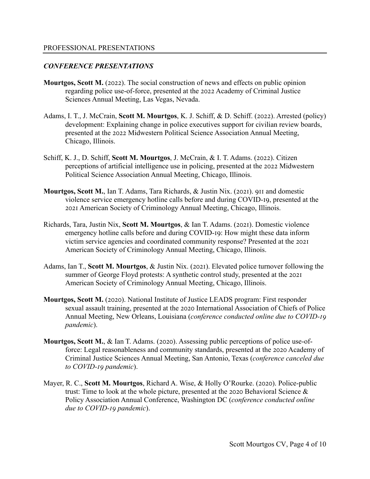## *CONFERENCE PRESENTATIONS*

- **Mourtgos, Scott M.** (2022). The social construction of news and effects on public opinion regarding police use-of-force, presented at the 2022 Academy of Criminal Justice Sciences Annual Meeting, Las Vegas, Nevada.
- Adams, I. T., J. McCrain, Scott M. Mourtgos, K. J. Schiff, & D. Schiff. (2022). Arrested (policy). development: Explaining change in police executives support for civilian review boards, presented at the 2022 Midwestern Political Science Association Annual Meeting, Chicago, Illinois.
- Schiff, K. J., D. Schiff, Scott M. Mourtgos, J. McCrain, & I. T. Adams. (2022). Citizen perceptions of artificial intelligence use in policing, presented at the 2022 Midwestern Political Science Association Annual Meeting, Chicago, Illinois.
- **Mourtgos, Scott M., Ian T. Adams, Tara Richards, & Justin Nix. (2021). 911 and domestic** violence service emergency hotline calls before and during COVID-19, presented at the 2021 American Society of Criminology Annual Meeting, Chicago, Illinois.
- Richards, Tara, Justin Nix, Scott M. Mourtgos, & Ian T. Adams. (2021). Domestic violence emergency hotline calls before and during COVID-19: How might these data inform victim service agencies and coordinated community response? Presented at the 2021 American Society of Criminology Annual Meeting, Chicago, Illinois.
- Adams, Ian T., **Scott M. Mourtgos**, & Justin Nix. (2021). Elevated police turnover following the summer of George Floyd protests: A synthetic control study, presented at the 2021 American Society of Criminology Annual Meeting, Chicago, Illinois.
- **Mourtgos, Scott M.** (2020). National Institute of Justice LEADS program: First responder sexual assault training, presented at the 2020 International Association of Chiefs of Police Annual Meeting, New Orleans, Louisiana (*conference conducted online due to COVID-19 pandemic*).
- **Mourtgos, Scott M., & Ian T. Adams. (2020). Assessing public perceptions of police use-of**force: Legal reasonableness and community standards, presented at the 2020 Academy of Criminal Justice Sciences Annual Meeting, San Antonio, Texas (*conference canceled due*  to COVID-19 pandemic).
- Mayer, R. C., **Scott M. Mourtgos**, Richard A. Wise, & Holly O'Rourke. (2020). Police-public trust: Time to look at the whole picture, presented at the 2020 Behavioral Science  $\&$ Policy Association Annual Conference, Washington DC (*conference conducted online due to COVID-19 pandemic*).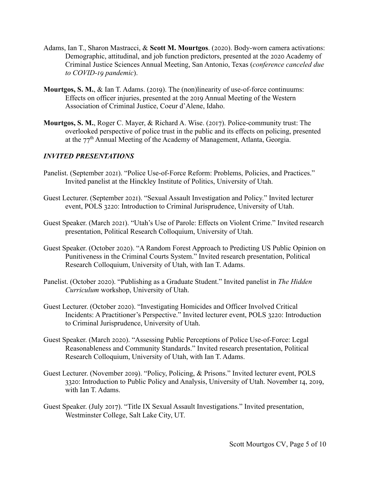- Adams, Ian T., Sharon Mastracci, & Scott M. Mourtgos. (2020). Body-worn camera activations: Demographic, attitudinal, and job function predictors, presented at the 2020 Academy of Criminal Justice Sciences Annual Meeting, San Antonio, Texas (*conference canceled due*  to COVID-19 pandemic).
- **Mourtgos, S. M., & Ian T. Adams. (2019). The (non)linearity of use-of-force continuums:** Effects on officer injuries, presented at the 2019 Annual Meeting of the Western Association of Criminal Justice, Coeur d'Alene, Idaho.
- **Mourtgos, S. M., Roger C. Mayer, & Richard A. Wise. (2017). Police-community trust: The** overlooked perspective of police trust in the public and its effects on policing, presented at the  $77<sup>th</sup>$  Annual Meeting of the Academy of Management, Atlanta, Georgia.

## *INVITED PRESENTATIONS*

- Panelist. (September 2021). "Police Use-of-Force Reform: Problems, Policies, and Practices." Invited panelist at the Hinckley Institute of Politics, University of Utah.
- Guest Lecturer. (September 2021). "Sexual Assault Investigation and Policy." Invited lecturer event, POLS 3220: Introduction to Criminal Jurisprudence, University of Utah.
- Guest Speaker. (March 2021). "Utah's Use of Parole: Effects on Violent Crime." Invited research presentation, Political Research Colloquium, University of Utah.
- Guest Speaker. (October 2020). "A Random Forest Approach to Predicting US Public Opinion on Punitiveness in the Criminal Courts System." Invited research presentation, Political Research Colloquium, University of Utah, with Ian T. Adams.
- Panelist. (October 2020). "Publishing as a Graduate Student." Invited panelist in *The Hidden Curriculum* workshop, University of Utah.
- Guest Lecturer. (October 2020). "Investigating Homicides and Officer Involved Critical Incidents: A Practitioner's Perspective." Invited lecturer event, POLS 3220: Introduction to Criminal Jurisprudence, University of Utah.
- Guest Speaker. (March 2020). "Assessing Public Perceptions of Police Use-of-Force: Legal Reasonableness and Community Standards." Invited research presentation, Political Research Colloquium, University of Utah, with Ian T. Adams.
- Guest Lecturer. (November 2019). "Policy, Policing, & Prisons." Invited lecturer event, POLS 3320: Introduction to Public Policy and Analysis, University of Utah. November 14, 2019, with Ian T. Adams.
- Guest Speaker. (July 2017). "Title IX Sexual Assault Investigations." Invited presentation, Westminster College, Salt Lake City, UT.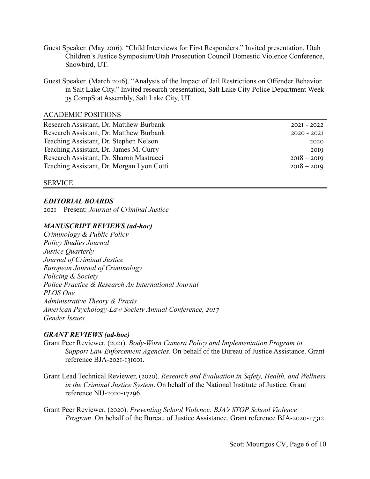- Guest Speaker. (May 2016). "Child Interviews for First Responders." Invited presentation, Utah Children's Justice Symposium/Utah Prosecution Council Domestic Violence Conference, Snowbird, UT.
- Guest Speaker. (March 2016). "Analysis of the Impact of Jail Restrictions on Offender Behavior in Salt Lake City." Invited research presentation, Salt Lake City Police Department Week 35 CompStat Assembly, Salt Lake City, UT.

#### ACADEMIC POSITIONS

| Research Assistant, Dr. Matthew Burbank   | $202I - 2022$ |
|-------------------------------------------|---------------|
| Research Assistant, Dr. Matthew Burbank   | $2020 - 202I$ |
| Teaching Assistant, Dr. Stephen Nelson    | 2020          |
| Teaching Assistant, Dr. James M. Curry    | 2019          |
| Research Assistant, Dr. Sharon Mastracci  | $2018 - 2019$ |
| Teaching Assistant, Dr. Morgan Lyon Cotti | $2018 - 2019$ |
|                                           |               |

#### SERVICE

#### *EDITORIAL BOARDS*

2021 – Present: *Journal of Criminal Justice* 

#### *MANUSCRIPT REVIEWS (ad-hoc)*

*Criminology & Public Policy Policy Studies Journal Justice Quarterly Journal of Criminal Justice European Journal of Criminology Policing & Society Police Practice & Research An International Journal PLOS One Administrative Theory & Praxis American Psychology-Law Society Annual Conference, 2017 Gender Issues*

#### *GRANT REVIEWS (ad-hoc)*

- Grant Peer Reviewer. (2021). *Body-Worn Camera Policy and Implementation Program to Support Law Enforcement Agencies*. On behalf of the Bureau of Justice Assistance. Grant reference BJA-2021-131001.
- Grant Lead Technical Reviewer, (2020). *Research and Evaluation in Safety, Health, and Wellness in the Criminal Justice System*. On behalf of the National Institute of Justice. Grant reference NIJ-2020-17296.

Grant Peer Reviewer, (2020). *Preventing School Violence: BJA's STOP School Violence Program*. On behalf of the Bureau of Justice Assistance. Grant reference BJA-2020-17312.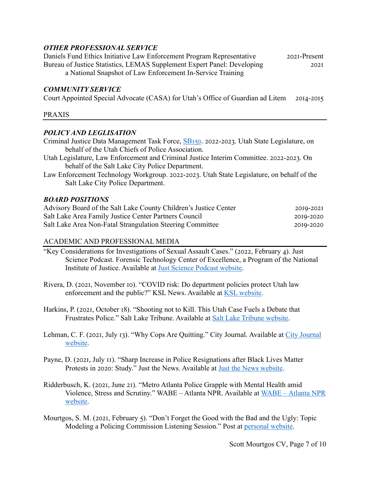## *OTHER PROFESSIONAL SERVICE*

Daniels Fund Ethics Initiative Law Enforcement Program Representative 2021-Present Bureau of Justice Statistics, LEMAS Supplement Expert Panel: Developing 2021 a National Snapshot of Law Enforcement In-Service Training

#### *COMMUNITY SERVICE*

Court Appointed Special Advocate (CASA) for Utah's Office of Guardian ad Litem 2014-2015

#### PRAXIS

#### *POLICY AND LEGLISATION*

- Criminal Justice Data Management Task Force, SB150. 2022-2023. Utah State Legislature, on behalf of the Utah Chiefs of Police Association.
- Utah Legislature, Law Enforcement and Criminal Justice Interim Committee. 2022-2023. On behalf of the Salt Lake City Police Department.
- Law Enforcement Technology Workgroup. 2022-2023. Utah State Legislature, on behalf of the Salt Lake City Police Department.

#### *BOARD POSITIONS*

| Advisory Board of the Salt Lake County Children's Justice Center | 2019-2021 |
|------------------------------------------------------------------|-----------|
| Salt Lake Area Family Justice Center Partners Council            | 2019-2020 |
| Salt Lake Area Non-Fatal Strangulation Steering Committee        | 2019-2020 |

#### ACADEMIC AND PROFESSIONAL MEDIA

- "Key Considerations for Investigations of Sexual Assault Cases." (2022, February 4). Just Science Podcast. Forensic Technology Center of Excellence, a Program of the National Institute of Justice. Available at Just Science Podcast website.
- Rivera, D. (2021, November 10). "COVID risk: Do department policies protect Utah law enforcement and the public?" KSL News. Available at KSL website.
- Harkins, P. (2021, October 18). "Shooting not to Kill. This Utah Case Fuels a Debate that Frustrates Police." Salt Lake Tribune. Available at Salt Lake Tribune website.
- Lehman, C. F. (2021, July 13). "Why Cops Are Quitting." City Journal. Available at City Journal website.
- Payne, D. (2021, July II). "Sharp Increase in Police Resignations after Black Lives Matter Protests in 2020: Study." Just the News. Available at Just the News website.
- Ridderbusch, K. (2021, June 21). "Metro Atlanta Police Grapple with Mental Health amid Violence, Stress and Scrutiny." WABE – Atlanta NPR. Available at WABE – Atlanta NPR website.
- Mourtgos, S. M. (2021, February 5). "Don't Forget the Good with the Bad and the Ugly: Topic Modeling a Policing Commission Listening Session." Post at personal website.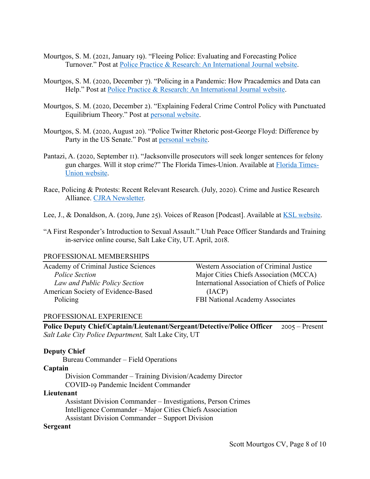- Mourtgos, S. M. (2021, January 19). "Fleeing Police: Evaluating and Forecasting Police Turnover." Post at Police Practice & Research: An International Journal website.
- Mourtgos, S. M. (2020, December 7). "Policing in a Pandemic: How Pracademics and Data can Help." Post at Police Practice & Research: An International Journal website.
- Mourtgos, S. M. (2020, December 2). "Explaining Federal Crime Control Policy with Punctuated Equilibrium Theory." Post at personal website.
- Mourtgos, S. M. (2020, August 20). "Police Twitter Rhetoric post-George Floyd: Difference by Party in the US Senate." Post at personal website.
- Pantazi, A. (2020, September II). "Jacksonville prosecutors will seek longer sentences for felony gun charges. Will it stop crime?" The Florida Times-Union. Available at Florida Times-Union website.
- Race, Policing & Protests: Recent Relevant Research. (July, 2020). Crime and Justice Research Alliance. CJRA Newsletter.
- Lee, J., & Donaldson, A. (2019, June 25). Voices of Reason [Podcast]. Available at KSL website.
- "A First Responder's Introduction to Sexual Assault." Utah Peace Officer Standards and Training in-service online course, Salt Lake City, UT. April, 2018.

#### PROFESSIONAL MEMBERSHIPS

Academy of Criminal Justice Sciences *Police Section Law and Public Policy Section* American Society of Evidence-Based Policing

Western Association of Criminal Justice Major Cities Chiefs Association (MCCA) International Association of Chiefs of Police (IACP) FBI National Academy Associates

#### PROFESSIONAL EXPERIENCE

**Police Deputy Chief/Captain/Lieutenant/Sergeant/Detective/Police Officer** 2005 – Present *Salt Lake City Police Department,* Salt Lake City, UT

#### **Deputy Chief**

Bureau Commander – Field Operations

#### **Captain**

Division Commander – Training Division/Academy Director COVID-19 Pandemic Incident Commander

#### **Lieutenant**

Assistant Division Commander – Investigations, Person Crimes Intelligence Commander – Major Cities Chiefs Association Assistant Division Commander – Support Division

#### **Sergeant**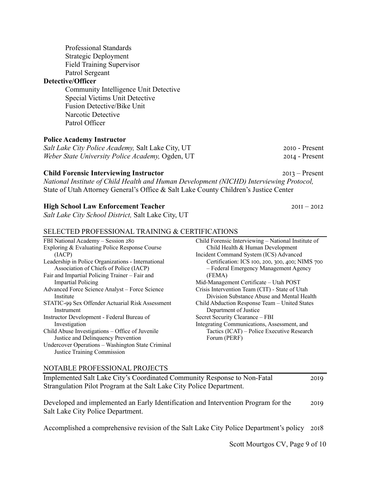Professional Standards Strategic Deployment Field Training Supervisor Patrol Sergeant

#### **Detective/Officer**

Community Intelligence Unit Detective Special Victims Unit Detective Fusion Detective/Bike Unit Narcotic Detective Patrol Officer

## **Police Academy Instructor**

*Salt Lake City Police Academy,* Salt Lake City, UT 2010 - Present *Weber State University Police Academy, Ogden, UT* 2014 - Present

#### **Child Forensic Interviewing Instructor**  $2013 -$  Present

*National Institute of Child Health and Human Development (NICHD) Interviewing Protocol,* State of Utah Attorney General's Office & Salt Lake County Children's Justice Center

#### **High School Law Enforcement Teacher**  $\frac{2011 - 2012}{201}$

*Salt Lake City School District,* Salt Lake City, UT

#### SELECTED PROFESSIONAL TRAINING & CERTIFICATIONS

| Child Forensic Interviewing – National Institute of |
|-----------------------------------------------------|
| Child Health & Human Development                    |
| Incident Command System (ICS) Advanced              |
| Certification: ICS 100, 200, 300, 400; NIMS 700     |
| - Federal Emergency Management Agency               |
| (FEMA)                                              |
| Mid-Management Certificate - Utah POST              |
| Crisis Intervention Team (CIT) - State of Utah      |
| Division Substance Abuse and Mental Health          |
| Child Abduction Response Team - United States       |
| Department of Justice                               |
| Secret Security Clearance - FBI                     |
| Integrating Communications, Assessment, and         |
| Tactics (ICAT) – Police Executive Research          |
| Forum (PERF)                                        |
|                                                     |
|                                                     |
|                                                     |

#### NOTABLE PROFESSIONAL PROJECTS

Implemented Salt Lake City's Coordinated Community Response to Non-Fatal 2019 Strangulation Pilot Program at the Salt Lake City Police Department.

Developed and implemented an Early Identification and Intervention Program for the 2019 Salt Lake City Police Department.

Accomplished a comprehensive revision of the Salt Lake City Police Department's policy 2018